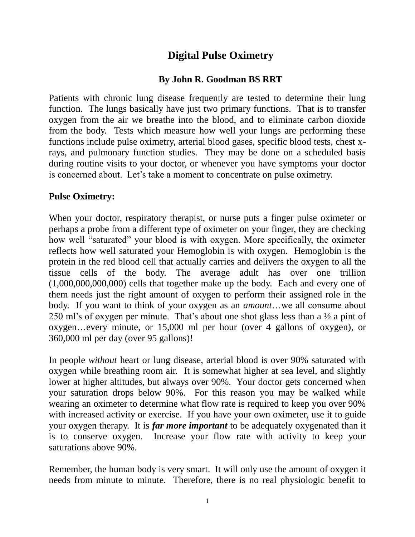## **Digital Pulse Oximetry**

## **By John R. Goodman BS RRT**

Patients with chronic lung disease frequently are tested to determine their lung function. The lungs basically have just two primary functions. That is to transfer oxygen from the air we breathe into the blood, and to eliminate carbon dioxide from the body. Tests which measure how well your lungs are performing these functions include pulse oximetry, arterial blood gases, specific blood tests, chest xrays, and pulmonary function studies. They may be done on a scheduled basis during routine visits to your doctor, or whenever you have symptoms your doctor is concerned about. Let's take a moment to concentrate on pulse oximetry.

## **Pulse Oximetry:**

When your doctor, respiratory therapist, or nurse puts a finger pulse oximeter or perhaps a probe from a different type of oximeter on your finger, they are checking how well "saturated" your blood is with oxygen. More specifically, the oximeter reflects how well saturated your Hemoglobin is with oxygen. Hemoglobin is the protein in the red blood cell that actually carries and delivers the oxygen to all the tissue cells of the body. The average adult has over one trillion (1,000,000,000,000) cells that together make up the body. Each and every one of them needs just the right amount of oxygen to perform their assigned role in the body. If you want to think of your oxygen as an *amount*…we all consume about 250 ml's of oxygen per minute. That's about one shot glass less than a ½ a pint of oxygen…every minute, or 15,000 ml per hour (over 4 gallons of oxygen), or 360,000 ml per day (over 95 gallons)!

In people *without* heart or lung disease, arterial blood is over 90% saturated with oxygen while breathing room air. It is somewhat higher at sea level, and slightly lower at higher altitudes, but always over 90%. Your doctor gets concerned when your saturation drops below 90%. For this reason you may be walked while wearing an oximeter to determine what flow rate is required to keep you over 90% with increased activity or exercise. If you have your own oximeter, use it to guide your oxygen therapy. It is *far more important* to be adequately oxygenated than it is to conserve oxygen. Increase your flow rate with activity to keep your saturations above 90%.

Remember, the human body is very smart. It will only use the amount of oxygen it needs from minute to minute. Therefore, there is no real physiologic benefit to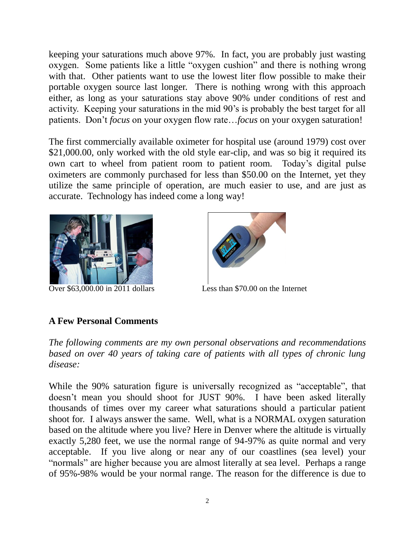keeping your saturations much above 97%. In fact, you are probably just wasting oxygen. Some patients like a little "oxygen cushion" and there is nothing wrong with that. Other patients want to use the lowest liter flow possible to make their portable oxygen source last longer. There is nothing wrong with this approach either, as long as your saturations stay above 90% under conditions of rest and activity. Keeping your saturations in the mid 90's is probably the best target for all patients. Don't *focus* on your oxygen flow rate…*focus* on your oxygen saturation!

The first commercially available oximeter for hospital use (around 1979) cost over \$21,000.00, only worked with the old style ear-clip, and was so big it required its own cart to wheel from patient room to patient room. Today's digital pulse oximeters are commonly purchased for less than \$50.00 on the Internet, yet they utilize the same principle of operation, are much easier to use, and are just as accurate. Technology has indeed come a long way!





Over \$63,000.00 in 2011 dollarsLess than \$70.00 on the Internet

## **A Few Personal Comments**

*The following comments are my own personal observations and recommendations based on over 40 years of taking care of patients with all types of chronic lung disease:*

While the 90% saturation figure is universally recognized as "acceptable", that doesn't mean you should shoot for JUST 90%. I have been asked literally thousands of times over my career what saturations should a particular patient shoot for. I always answer the same. Well, what is a NORMAL oxygen saturation based on the altitude where you live? Here in Denver where the altitude is virtually exactly 5,280 feet, we use the normal range of 94-97% as quite normal and very acceptable. If you live along or near any of our coastlines (sea level) your "normals" are higher because you are almost literally at sea level. Perhaps a range of 95%-98% would be your normal range. The reason for the difference is due to